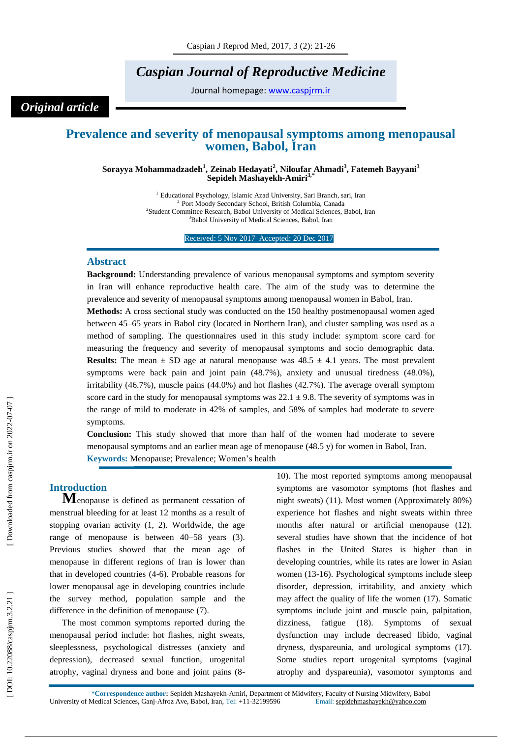# *Caspian Journal of Reproductive Medicine*

Journal homepage: [www.caspjrm.ir](http://www.caspjrm.ir/)

## *Original article*

## **Prevalence and severity of menopausal symptoms among menopausal women, Babol, Iran**

**Sorayya Mohammadzadeh 1 , Zeinab Hedayati 2 , Niloufar Ahmadi 3 , Fatemeh Bayyani 3 Sepideh Mashayekh -Amir i 3,\***

> <sup>1</sup> Educational Psychology, Islamic Azad University, Sari Branch, sari, Iran  $\frac{2 \text{ Port Model} \text{ Society} \text{ School} \text{ British Columbia} \text{ Canada}}{2 \text{ Output}}$ Port Moody Secondary School, British Columbia, Canada <sup>2</sup>Student Committee Research, Babol University of Medical Sciences, Babol, Iran <sup>3</sup>Babol University of Medical Sciences, Babol, Iran

> > Received: 5 Nov 2017 Accepted: 20 Dec 2017

### **Abstrac t**

**Background:** Understanding prevalence of various menopausal symptoms and symptom severity in Iran will enhance reproductive health care. The aim of the study was to determine the prevalence and severity of menopausal symptoms among menopausal women in Babol, Iran. **Methods:** A cross sectional study was conducted on the 150 healthy postmenopausal women aged

between 45 –65 years in Babol city (located in Northern Iran), and cluster sampling was used as a method of sampling. The questionnaires used in this study include: symptom score card for measuring the frequency and severity of menopausal symptoms and socio demographic data. **Results:** The mean  $\pm$  SD age at natural menopause was  $48.5 \pm 4.1$  years. The most prevalent symptoms were back pain and joint pain (48.7%), anxiety and unusual tiredness (48.0%), irritability (46.7%), muscle pains (44.0%) and hot flashes (42.7%). The average overall symptom score card in the study for menopausal symptoms was  $22.1 \pm 9.8$ . The severity of symptoms was in the range of mild to moderate in 42% of samples, and 58% of samples had moderate to severe symptoms.

**Conclusion:** This study showed that more than half of the women had moderate to severe menopausal symptoms and an earlier mean age of menopause (48.5 y) for women in Babol, Iran. **Keywords:** Menopause; Prevalence; Women's health

**Introduction <sup>M</sup>**enopause is defined as permanent cessation of menstrual bleeding for at least 12 months as a result of stopping ovarian activity (1, 2). Worldwide, the age range of menopause is between 40 – 58 years (3). Previous studies showed that the mean age of menopause in different regions of Iran is lower than that in developed countries (4 -6). Probable reasons for lower menopausal age in developing countries include the survey method, population sample and the difference in the definition of menopause (7).

The most common symptoms reported during the menopausal period include: hot flashes, night sweats, sleeplessness, psychological distresses (anxiety and depression), decreased sexual function, urogenital atrophy, vaginal dryness and bone and joint pains (8 - 10). The most reported symptoms among menopausal symptoms are vasomotor symptoms (hot flashes and night sweats) (11). Most women (Approximately 80%) experience hot flashes and night sweats within three months after natural or artificial menopause (12). several studies have shown that the incidence of hot flashes in the United States is higher than in developing countries, while its rates are lower in Asian women (13 -16). Psychological symptoms include sleep disorder, depression, irritability, and anxiety which may affect the quality of life the women (17). Somatic symptoms include joint and muscle pain, palpitation, dizziness, fatigue (18). Symptoms of sexual dysfunction may include decreased libido, vaginal dryness, dyspareunia, and urological symptoms (17). Some studies report urogenital symptoms (vaginal atrophy and dyspareunia), vasomotor symptoms and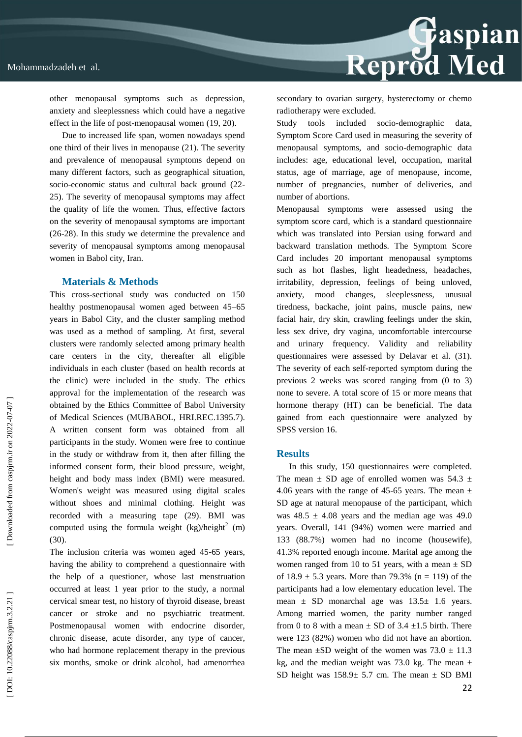

other menopausal symptoms such as depression, anxiety and sleeplessness which could have a negative effect in the life of post -menopausal women (19, 20).

Due to increased life span, women nowadays spend one third of their lives in menopause (21). The severity and prevalence of menopausal symptoms depend on many different factors, such as geographical situation, socio-economic status and cultural back ground (22-25). The severity of menopausal symptoms may affect the quality of life the women. Thus, effective factors on the severity of menopausal symptoms are important (26 -28). In this study we determine the prevalence and severity of menopausal symptoms among menopausal women in Babol city, Iran.

#### **Materials & Methods**

This cross -sectional study was conducted on 150 healthy postmenopausal women aged between 45 –65 years in Babol City, and the cluster sampling method was used as a method of sampling. At first, several clusters were randomly selected among primary health care centers in the city, thereafter all eligible individuals in each cluster (based on health records at the clinic) were included in the study. The ethics approval for the implementation of the research was obtained by the Ethics Committee of Babol University of Medical Sciences (MUBABOL, HRI.REC.1395.7 ). A written consent form was obtained from all participants in the study. Women were free to continue in the study or withdraw from it, then after filling the informed consent form, their blood pressure, weight, height and body mass index (BMI) were measured. Women's weight was measured using digital scales without shoes and minimal clothing. Height was recorded with a measuring tape (29). BMI was computed using the formula weight  $(kg)/height<sup>2</sup>$  (m) (30).

The inclusion criteria was women aged 45 -65 years, having the ability to comprehend a questionnaire with the help of a questioner, whose last menstruation occurred at least 1 year prior to the study, a normal cervical smear test, no history of thyroid disease, breast cancer or stroke and no psychiatric treatment. Postmenopausal women with endocrine disorder, chronic disease, acute disorder, any type of cancer, who had hormone replacement therapy in the previous six months, smoke or drink alcohol, had amenorrhea

secondary to ovarian surgery, hysterectomy or chemo radiotherapy were excluded.

Study tools included socio-demographic data, Symptom Score Card used in measuring the severity of menopausal symptoms, and socio -demographic data includes: age, educational level, occupation, marital status, age of marriage, age of menopause, income, number of pregnancies, number of deliveries, and number of abortions.

Menopausal symptoms were assessed using the symptom score card, which is a standard questionnaire which was translated into Persian using forward and backward translation methods. The Symptom Score Card includes 20 important menopausal symptoms such as hot flashes, light headedness, headaches, irritability, depression, feelings of being unloved, anxiety, mood changes, sleeplessness, unusual tiredness, backache, joint pains, muscle pains, new facial hair, dry skin, crawling feelings under the skin, less sex drive, dry vagina, uncomfortable intercourse and urinary frequency. Validity and reliability questionnaires were assessed by Delavar et al. (31). The severity of each self-reported symptom during the previous 2 weeks was scored ranging from (0 to 3) none to severe. A total score of 15 or more means that hormone therapy (HT) can be beneficial. The data gained from each questionnaire were analyzed by SPSS version 16.

#### **Results**

22 In this study, 150 questionnaires were completed. The mean  $\pm$  SD age of enrolled women was 54.3  $\pm$ 4.06 years with the range of 45-65 years. The mean  $\pm$ SD age at natural menopause of the participant, which was  $48.5 \pm 4.08$  years and the median age was 49.0 years. Overall, 141 (94%) women were married and 133 (88.7%) women had no income (housewife), 41.3% reported enough income. Marital age among the women ranged from 10 to 51 years, with a mean  $\pm$  SD of  $18.9 \pm 5.3$  years. More than 79.3% (n = 119) of the participants had a low elementary education level. The mean  $\pm$  SD monarchal age was  $13.5\pm$  1.6 years. Among married women, the parity number ranged from 0 to 8 with a mean  $\pm$  SD of 3.4  $\pm$ 1.5 birth. There were 123 (82%) women who did not have an abortion. The mean  $\pm$ SD weight of the women was 73.0  $\pm$  11.3 kg, and the median weight was 73.0 kg. The mean  $\pm$ SD height was  $158.9 \pm 5.7$  cm. The mean  $\pm$  SD BMI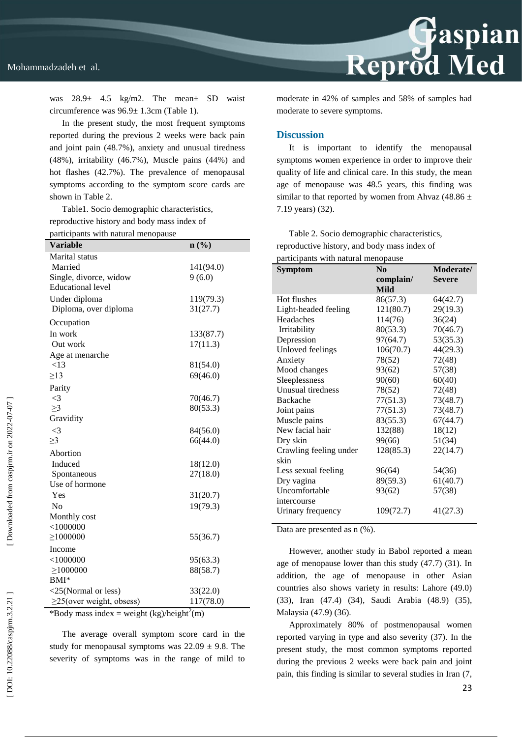was 28.9± 4.5 kg/m2. The mean± SD waist circumference was 96.9± 1.3cm (Table 1).

In the present study, the most frequent symptoms reported during the previous 2 weeks were back pain and joint pain (48.7%), anxiety and unusual tiredness (48%), irritability (46.7%), Muscle pains (44%) and hot flashes (42.7%). The prevalence of menopausal symptoms according to the symptom score cards are shown in Table 2.

Table1. Socio demographic characteristics, reproductive history and body mass index of participants with natural menopause

| participants with natural menopause |           |  |
|-------------------------------------|-----------|--|
| <b>Variable</b>                     | n(%)      |  |
| Marital status                      |           |  |
| Married                             | 141(94.0) |  |
| Single, divorce, widow              | 9(6.0)    |  |
| <b>Educational level</b>            |           |  |
| Under diploma                       | 119(79.3) |  |
| Diploma, over diploma               | 31(27.7)  |  |
| Occupation                          |           |  |
| In work                             | 133(87.7) |  |
| Out work                            | 17(11.3)  |  |
| Age at menarche                     |           |  |
| <13                                 | 81(54.0)  |  |
| $\geq$ 13                           | 69(46.0)  |  |
| Parity                              |           |  |
| $\leq$ 3                            | 70(46.7)  |  |
| $\geq$ 3                            | 80(53.3)  |  |
| Gravidity                           |           |  |
| $\leq$ 3                            | 84(56.0)  |  |
| $\geq$ 3                            | 66(44.0)  |  |
| Abortion                            |           |  |
| Induced                             | 18(12.0)  |  |
| Spontaneous                         | 27(18.0)  |  |
| Use of hormone                      |           |  |
| Yes                                 | 31(20.7)  |  |
| No                                  | 19(79.3)  |  |
| Monthly cost                        |           |  |
| $<\!\!1000000$                      |           |  |
| $\geq$ 1000000                      | 55(36.7)  |  |
| Income                              |           |  |
| $<$ 1000000                         | 95(63.3)  |  |
| $\geq 1000000$                      | 88(58.7)  |  |
| $BMI^*$                             |           |  |
| <25(Normal or less)                 | 33(22.0)  |  |
| $\geq$ 25(over weight, obsess)      | 117(78.0) |  |

\*Body mass index = weight  $(kg)/height<sup>2</sup>(m)$ 

The average overall symptom score card in the study for menopausal symptoms was  $22.09 \pm 9.8$ . The severity of symptoms was in the range of mild to moderate in 42% of samples and 58% of samples had moderate to severe symptoms.

Reprod Med

#### **Discussion**

It is important to identify the menopausal symptoms women experience in order to improve their quality of life and clinical care. In this study, the mean age of menopause was 48.5 years, this finding was similar to that reported by women from Ahvaz (48.86  $\pm$ 7.19 years) (32).

Table 2. Socio demographic characteristics, reproductive history , and body mass index of participants with natural menopause

| <b>Symptom</b>         | N <sub>0</sub> | Moderate/     |
|------------------------|----------------|---------------|
|                        |                | <b>Severe</b> |
|                        | complain/      |               |
|                        | <b>Mild</b>    |               |
| Hot flushes            | 86(57.3)       | 64(42.7)      |
| Light-headed feeling   | 121(80.7)      | 29(19.3)      |
| Headaches              | 114(76)        | 36(24)        |
| Irritability           | 80(53.3)       | 70(46.7)      |
| Depression             | 97(64.7)       | 53(35.3)      |
| Unloved feelings       | 106(70.7)      | 44(29.3)      |
| Anxiety                | 78(52)         | 72(48)        |
| Mood changes           | 93(62)         | 57(38)        |
| Sleeplessness          | 90(60)         | 60(40)        |
| Unusual tiredness      | 78(52)         | 72(48)        |
| <b>Backache</b>        | 77(51.3)       | 73(48.7)      |
| Joint pains            | 77(51.3)       | 73(48.7)      |
| Muscle pains           | 83(55.3)       | 67(44.7)      |
| New facial hair        | 132(88)        | 18(12)        |
| Dry skin               | 99(66)         | 51(34)        |
| Crawling feeling under | 128(85.3)      | 22(14.7)      |
| skin                   |                |               |
| Less sexual feeling    | 96(64)         | 54(36)        |
| Dry vagina             | 89(59.3)       | 61(40.7)      |
| Uncomfortable          | 93(62)         | 57(38)        |
| intercourse            |                |               |
| Urinary frequency      | 109(72.7)      | 41(27.3)      |

Data are presented as n (%).

However, another study in Babol reported a mean age of menopause lower than this study (47.7) (31). In addition, the age of menopause in other Asian countries also shows variety in results: Lahore (49.0) (33), Iran (47.4) (34), Saudi Arabia (48.9) (35), Malaysia (47.9) (36).

Approximately 80% of postmenopausal women reported varying in type and also severity (37). In the present study, the most common symptoms reported during the previous 2 weeks were back pain and joint pain, this finding is similar to several studies in Iran (7,

23

Downloaded from caspirm.ir on 2022-07-07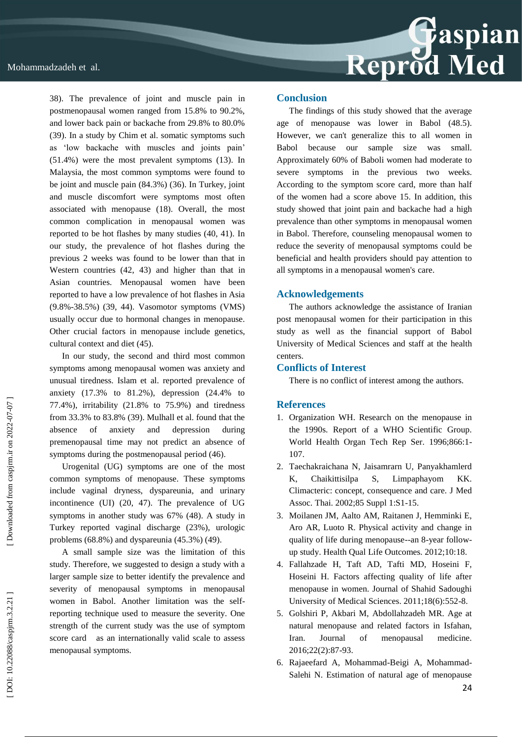

38). The prevalence of joint and muscle pain in postmenopausal women ranged from 15.8% to 90.2%, and lower back pain or backache from 29.8% to 80.0% (39). In a study by Chim et al. somatic symptoms such as 'low backache with muscles and joints pain' (51.4%) were the most prevalent symptoms (13). In Malaysia, the most common symptoms were found to be joint and muscle pain (84.3%) (36). In Turkey, joint and muscle discomfort were symptoms most often associated with menopause (18). Overall, the most common complication in menopausal women was reported to be hot flashes by many studies (40, 41). In our study, the prevalence of hot flashes during the previous 2 weeks was found to be lower than that in Western countries (42, 43) and higher than that in Asian countries. Menopausal women have been reported to have a low prevalence of hot flashes in Asia (9.8% -38.5%) (39, 44). Vasomotor symptoms (VMS) usually occur due to hormonal changes in menopause. Other crucial factors in menopause include genetics, cultural context and diet (45).

In our study, the second and third most common symptoms among menopausal women was anxiety and unusual tiredness. Islam et al. reported prevalence of anxiety (17.3% to 81.2%), depression (24.4% to 77.4%), irritability (21.8% to 75.9%) and tiredness from 33.3% to 83.8% (39). Mulhall et al. found that the absence of anxiety and depression during premenopausal time may not predict an absence of symptoms during the postmenopausal period (46).

Urogenital (UG) symptoms are one of the most common symptoms of menopause. These symptoms include vaginal dryness, dyspareunia, and urinary incontinence (UI) (20, 47). The prevalence of UG symptoms in another study was 67% (48). A study in Turkey reported vaginal discharge (23%), urologic problems (68.8%) and dyspareunia (45.3%) (49).

A small sample size was the limitation of this study. Therefore, we suggested to design a study with a larger sample size to better identify the prevalence and severity of menopausal symptoms in menopausal women in Babol. Another limitation was the selfreporting technique used to measure the severity. One strength of the current study was the use of symptom score card as an internationally valid scale to assess menopausal symptoms.

#### **Conclusion**

The findings of this study showed that the average age of menopause was lower in Babol (48.5). However, we can't generalize this to all women in Babol because our sample size was small. Approximately 60% of Baboli women had moderate to severe symptoms in the previous two weeks. According to the symptom score card, more than half of the women had a score above 15. In addition, this study showed that joint pain and backache had a high prevalence than other symptoms in menopausal women in Babol. Therefore, counseling menopausal women to reduce the severity of menopausal symptoms could be beneficial and health providers should pay attention to all symptoms in a menopausal women's care.

#### **Acknowledgements**

The authors acknowledge the assistance of Iranian post menopausal women for their participation in this study as well as the financial support of Babol University of Medical Sciences and staff at the health centers.

#### **Conflicts of Interest**

There is no conflict of interest among the authors.

#### **References**

- 1. Organization WH. Research on the menopause in the 1990s. Report of a WHO Scientific Group. World Health Organ Tech Rep Ser. 1996;866:1 - 107.
- 2. Taechakraichana N, Jaisamrarn U, Panyakhamlerd K, Chaikittisilpa S, Limpaphayom KK. Climacteric: concept, consequence and care. J Med Assoc. Thai. 2002;85 Suppl 1:S1 -15.
- 3. Moilanen JM, Aalto AM, Raitanen J, Hemminki E, Aro AR, Luoto R. Physical activity and change in quality of life during menopause--an 8 -year follow up study. Health Qual Life Outcomes. 2012;10: 18.
- 4. Fallahzade H, Taft AD, Tafti MD, Hoseini F, Hoseini H. Factors affecting quality of life after menopause in women. Journal of Shahid Sadoughi University of Medical Sciences. 2011;18(6):552 -8.
- 5. Golshiri P, Akbari M, Abdollahzadeh MR. Age at natural menopause and related factors in Isfahan, Iran. Journal of menopausal medicine. 2016;22(2):87 -93.
- 6. Rajaeefard A, Mohammad -Beigi A, Mohammad Salehi N. Estimation of natural age of menopause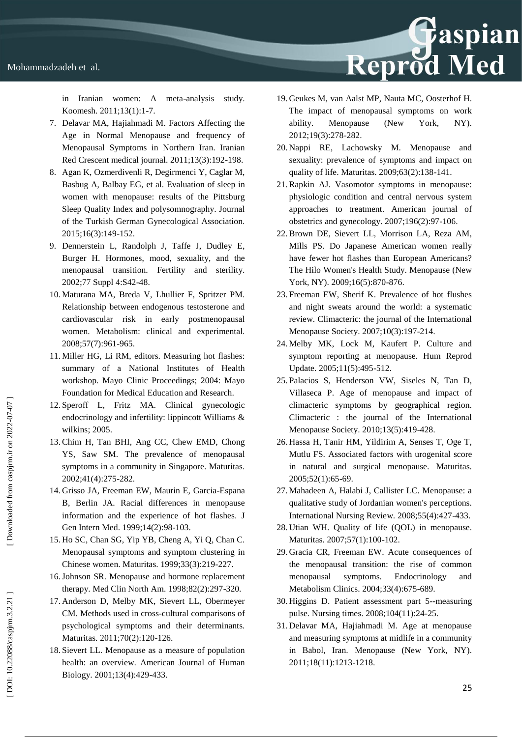in Iranian women: A meta-analysis study. Koomesh. 2011;13(1):1 -7.

- 7. Delavar MA, Hajiahmadi M. Factors Affecting the Age in Normal Menopause and frequency of Menopausal Symptoms in Northern Iran. Iranian Red Crescent medical journal. 2011;13(3):192 -198.
- 8. Agan K, Ozmerdivenli R, Degirmenci Y, Caglar M, Basbug A, Balbay EG, et al. Evaluation of sleep in women with menopause: results of the Pittsburg Sleep Quality Index and polysomnography. Journal of the Turkish German Gynecological Association. 2015;16(3):149 - 152.
- 9. Dennerstein L, Randolph J, Taffe J, Dudley E, Burger H. Hormones, mood, sexuality, and the menopausal transition. Fertility and sterility. 2002;77 Suppl 4:S42 - 48.
- 10. Maturana MA, Breda V, Lhullier F, Spritzer PM. Relationship between endogenous testosterone and cardiovascular risk in early postmenopausal women. Metabolism: clinical and experimental. 2008;57(7):961 -965.
- 11. Miller HG, Li RM, editors. Measuring hot flashes: summary of a National Institutes of Health workshop. Mayo Clinic Proceedings; 2004: Mayo Foundation for Medical Education and Research.
- 12. Speroff L, Fritz MA. Clinical gynecologic endocrinology and infertility: lippincott Williams & wilkins; 2005.
- 13.Chim H, Tan BHI, Ang CC, Chew EMD, Chong YS, Saw SM. The prevalence of menopausal symptoms in a community in Singapore. Maturitas. 2002;41(4):275 - 282.
- 14. Grisso JA, Freeman EW, Maurin E, Garcia -Espana B, Berlin JA. Racial differences in menopause information and the experience of hot flashes. J Gen Intern Med. 1999;14(2):98 -103.
- 15. Ho SC, Chan SG, Yip YB, Cheng A, Yi Q, Chan C. Menopausal symptoms and symptom clustering in Chinese women. Maturitas. 1999;33(3):219 - 227.
- 16.Johnson SR. Menopause and hormone replacement therapy. Med Clin North Am. 1998;82(2):297 -320.
- 17. Anderson D, Melby MK, Sievert LL, Obermeyer CM. Methods used in cross -cultural comparisons of psychological symptoms and their determinants. Maturitas. 2011;70(2):120 -126.
- 18. Sievert LL. Menopause as a measure of population health: an overview. American Journal of Human Biology. 2001;13(4):429 - 433.

19. Geukes M, van Aalst MP, Nauta MC, Oosterhof H. The impact of menopausal symptoms on work ability. Menopause (New York, NY). 2012;19(3):278 - 282.

Reprod Med

- 20. Nappi RE, Lachowsky M. Menopause and sexuality: prevalence of symptoms and impact on quality of life. Maturitas. 2009;63(2):138 - 141.
- 21.Rapkin AJ. Vasomotor symptoms in menopause: physiologic condition and central nervous system approaches to treatment. American journal of obstetrics and gynecology. 2007;196(2):97 -106.
- 22.Brown DE, Sievert LL, Morrison LA, Reza AM, Mills PS. Do Japanese American women really have fewer hot flashes than European Americans? The Hilo Women's Health Study. Menopause (New York, NY). 2009;16(5):870-876.
- 23. Freeman EW, Sherif K. Prevalence of hot flushes and night sweats around the world: a systematic review. Climacteric: the journal of the International Menopause Society. 2007;10(3):197 -214.
- 24. Melby MK, Lock M, Kaufert P. Culture and symptom reporting at menopause. Hum Reprod Update. 2005;11(5):495 -512.
- 25. Palacios S, Henderson VW, Siseles N, Tan D, Villaseca P. Age of menopause and impact of climacteric symptoms by geographical region. Climacteric : the journal of the International Menopause Society. 2010;13(5):419 - 428.
- 26. Hassa H, Tanir HM, Yildirim A, Senses T, Oge T, Mutlu FS. Associated factors with urogenital score in natural and surgical menopause. Maturitas. 2005;52(1):65 - 69.
- 27. Mahadeen A, Halabi J, Callister LC. Menopause: a qualitative study of Jordanian women's perceptions. International Nursing Review. 2008;55(4):427 - 433.
- 28. Utian WH. Quality of life (QOL) in menopause. Maturitas. 2007;57(1):100 -102.
- 29. Gracia CR, Freeman EW. Acute consequences of the menopausal transition: the rise of common menopausal symptoms. Endocrinology and Metabolism Clinics. 2004;33(4):675 - 689.
- 30. Higgins D. Patient assessment part 5--measuring pulse. Nursing times. 2008;104(11):24 - 25.
- 31. Delavar MA, Hajiahmadi M. Age at menopause and measuring symptoms at midlife in a community in Babol, Iran. Menopause (New York, NY). 2011;18(11):1213 -1218.